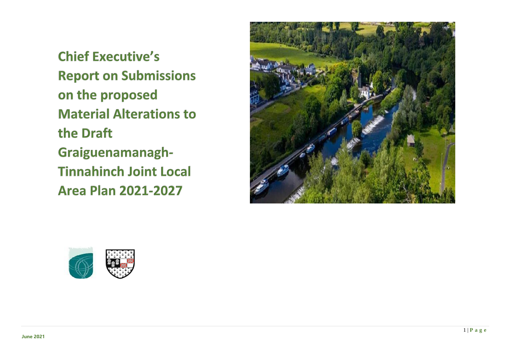**Chief Executive's Report on Submissions** on the proposed **Material Alterations to** the Draft Graiguenamanagh-**Tinnahinch Joint Local Area Plan 2021-2027** 



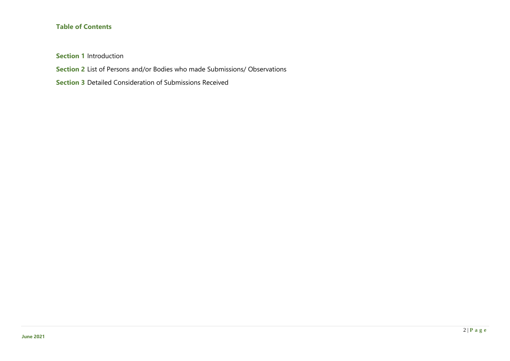## **Table of Contents**

**Section 1** Introduction

**Section 2** List of Persons and/or Bodies who made Submissions/ Observations

**Section 3** Detailed Consideration of Submissions Received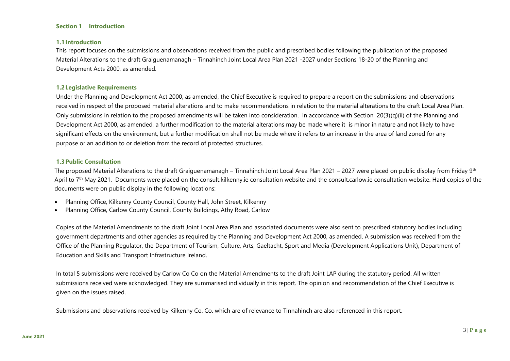#### **Section 1 Introduction**

#### **1.1Introduction**

This report focuses on the submissions and observations received from the public and prescribed bodies following the publication of the proposed Material Alterations to the draft Graiguenamanagh – Tinnahinch Joint Local Area Plan 2021 -2027 under Sections 18-20 of the Planning and Development Acts 2000, as amended.

#### **1.2Legislative Requirements**

Under the Planning and Development Act 2000, as amended, the Chief Executive is required to prepare a report on the submissions and observations received in respect of the proposed material alterations and to make recommendations in relation to the material alterations to the draft Local Area Plan. Only submissions in relation to the proposed amendments will be taken into consideration. In accordance with Section 20(3)(q)(ii) of the Planning and Development Act 2000, as amended, a further modification to the material alterations may be made where it is minor in nature and not likely to have significant effects on the environment, but a further modification shall not be made where it refers to an increase in the area of land zoned for any purpose or an addition to or deletion from the record of protected structures.

#### **1.3Public Consultation**

The proposed Material Alterations to the draft Graiguenamanagh – Tinnahinch Joint Local Area Plan 2021 – 2027 were placed on public display from Friday 9<sup>th</sup> April to 7<sup>th</sup> May 2021. Documents were placed on the consult.kilkenny.ie consultation website and the consult.carlow.ie consultation website. Hard copies of the documents were on public display in the following locations:

- Planning Office, Kilkenny County Council, County Hall, John Street, Kilkenny
- Planning Office, Carlow County Council, County Buildings, Athy Road, Carlow

Copies of the Material Amendments to the draft Joint Local Area Plan and associated documents were also sent to prescribed statutory bodies including government departments and other agencies as required by the Planning and Development Act 2000, as amended. A submission was received from the Office of the Planning Regulator, the Department of Tourism, Culture, Arts, Gaeltacht, Sport and Media (Development Applications Unit), Department of Education and Skills and Transport Infrastructure Ireland.

In total 5 submissions were received by Carlow Co Co on the Material Amendments to the draft Joint LAP during the statutory period. All written submissions received were acknowledged. They are summarised individually in this report. The opinion and recommendation of the Chief Executive is given on the issues raised.

Submissions and observations received by Kilkenny Co. Co. which are of relevance to Tinnahinch are also referenced in this report.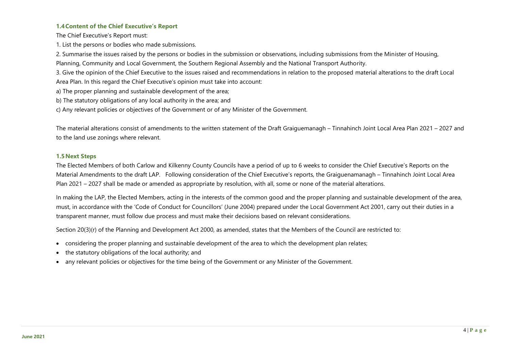## **1.4Content of the Chief Executive's Report**

The Chief Executive's Report must:

1. List the persons or bodies who made submissions.

2. Summarise the issues raised by the persons or bodies in the submission or observations, including submissions from the Minister of Housing, Planning, Community and Local Government, the Southern Regional Assembly and the National Transport Authority.

3. Give the opinion of the Chief Executive to the issues raised and recommendations in relation to the proposed material alterations to the draft Local Area Plan. In this regard the Chief Executive's opinion must take into account:

a) The proper planning and sustainable development of the area;

- b) The statutory obligations of any local authority in the area; and
- c) Any relevant policies or objectives of the Government or of any Minister of the Government.

The material alterations consist of amendments to the written statement of the Draft Graiguemanagh – Tinnahinch Joint Local Area Plan 2021 – 2027 and to the land use zonings where relevant.

### **1.5 Next Steps**

The Elected Members of both Carlow and Kilkenny County Councils have a period of up to 6 weeks to consider the Chief Executive's Reports on the Material Amendments to the draft LAP. Following consideration of the Chief Executive's reports, the Graiguenamanagh – Tinnahinch Joint Local Area Plan 2021 – 2027 shall be made or amended as appropriate by resolution, with all, some or none of the material alterations.

In making the LAP, the Elected Members, acting in the interests of the common good and the proper planning and sustainable development of the area, must, in accordance with the 'Code of Conduct for Councillors' (June 2004) prepared under the Local Government Act 2001, carry out their duties in a transparent manner, must follow due process and must make their decisions based on relevant considerations.

Section 20(3)(r) of the Planning and Development Act 2000, as amended, states that the Members of the Council are restricted to:

- considering the proper planning and sustainable development of the area to which the development plan relates;
- the statutory obligations of the local authority; and
- any relevant policies or objectives for the time being of the Government or any Minister of the Government.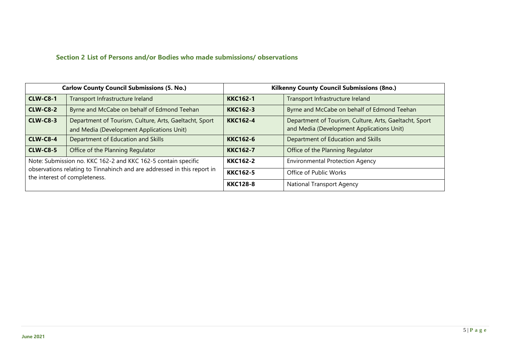# **Section 2 List of Persons and/or Bodies who made submissions/ observations**

| <b>Carlow County Council Submissions (5. No.)</b>                                                        |                                                                                                     | <b>Kilkenny County Council Submissions (8no.)</b> |                                                                                                     |  |
|----------------------------------------------------------------------------------------------------------|-----------------------------------------------------------------------------------------------------|---------------------------------------------------|-----------------------------------------------------------------------------------------------------|--|
| <b>CLW-C8-1</b>                                                                                          | Transport Infrastructure Ireland                                                                    | <b>KKC162-1</b>                                   | Transport Infrastructure Ireland                                                                    |  |
| <b>CLW-C8-2</b>                                                                                          | Byrne and McCabe on behalf of Edmond Teehan                                                         | <b>KKC162-3</b>                                   | Byrne and McCabe on behalf of Edmond Teehan                                                         |  |
| <b>CLW-C8-3</b>                                                                                          | Department of Tourism, Culture, Arts, Gaeltacht, Sport<br>and Media (Development Applications Unit) | <b>KKC162-4</b>                                   | Department of Tourism, Culture, Arts, Gaeltacht, Sport<br>and Media (Development Applications Unit) |  |
| <b>CLW-C8-4</b>                                                                                          | Department of Education and Skills                                                                  | <b>KKC162-6</b>                                   | Department of Education and Skills                                                                  |  |
| <b>CLW-C8-5</b>                                                                                          | Office of the Planning Regulator                                                                    | <b>KKC162-7</b>                                   | Office of the Planning Regulator                                                                    |  |
| Note: Submission no. KKC 162-2 and KKC 162-5 contain specific                                            |                                                                                                     | <b>KKC162-2</b>                                   | <b>Environmental Protection Agency</b>                                                              |  |
| observations relating to Tinnahinch and are addressed in this report in<br>the interest of completeness. |                                                                                                     | <b>KKC162-5</b>                                   | Office of Public Works                                                                              |  |
|                                                                                                          |                                                                                                     | <b>KKC128-8</b>                                   | <b>National Transport Agency</b>                                                                    |  |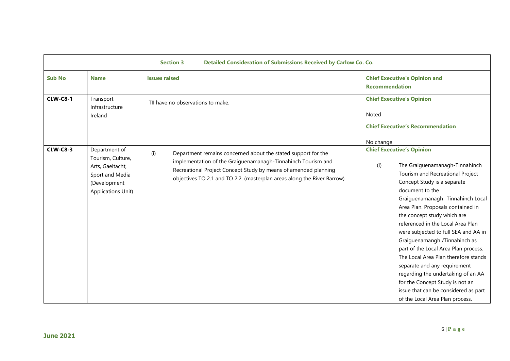|                 | <b>Section 3</b><br>Detailed Consideration of Submissions Received by Carlow Co. Co.                                   |                                                                                                                                                                                                                                                                                    |                                                                                                                                                                                                                                                                                                                                                                                                                                                                                                                                                                                                                                                           |  |  |
|-----------------|------------------------------------------------------------------------------------------------------------------------|------------------------------------------------------------------------------------------------------------------------------------------------------------------------------------------------------------------------------------------------------------------------------------|-----------------------------------------------------------------------------------------------------------------------------------------------------------------------------------------------------------------------------------------------------------------------------------------------------------------------------------------------------------------------------------------------------------------------------------------------------------------------------------------------------------------------------------------------------------------------------------------------------------------------------------------------------------|--|--|
| <b>Sub No</b>   | <b>Name</b>                                                                                                            | <b>Issues raised</b>                                                                                                                                                                                                                                                               | <b>Chief Executive's Opinion and</b><br><b>Recommendation</b>                                                                                                                                                                                                                                                                                                                                                                                                                                                                                                                                                                                             |  |  |
| <b>CLW-C8-1</b> | Transport<br>Infrastructure<br>Ireland                                                                                 | TII have no observations to make.                                                                                                                                                                                                                                                  | <b>Chief Executive's Opinion</b><br>Noted<br><b>Chief Executive's Recommendation</b><br>No change                                                                                                                                                                                                                                                                                                                                                                                                                                                                                                                                                         |  |  |
| <b>CLW-C8-3</b> | Department of<br>Tourism, Culture,<br>Arts, Gaeltacht,<br>Sport and Media<br>(Development<br><b>Applications Unit)</b> | Department remains concerned about the stated support for the<br>(i)<br>implementation of the Graiguenamanagh-Tinnahinch Tourism and<br>Recreational Project Concept Study by means of amended planning<br>objectives TO 2.1 and TO 2.2. (masterplan areas along the River Barrow) | <b>Chief Executive's Opinion</b><br>The Graiguenamanagh-Tinnahinch<br>(i)<br>Tourism and Recreational Project<br>Concept Study is a separate<br>document to the<br>Graiguenamanagh-Tinnahinch Local<br>Area Plan. Proposals contained in<br>the concept study which are<br>referenced in the Local Area Plan<br>were subjected to full SEA and AA in<br>Graiguenamangh /Tinnahinch as<br>part of the Local Area Plan process.<br>The Local Area Plan therefore stands<br>separate and any requirement<br>regarding the undertaking of an AA<br>for the Concept Study is not an<br>issue that can be considered as part<br>of the Local Area Plan process. |  |  |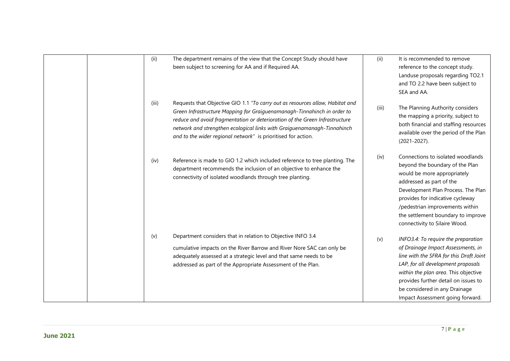| (ii)  | The department remains of the view that the Concept Study should have<br>been subject to screening for AA and if Required AA.                                                                                                                                                                                                                                                       | (ii)  | It is recommended to remove<br>reference to the concept study.<br>Landuse proposals regarding TO2.1<br>and TO 2.2 have been subject to<br>SEA and AA.                                                                                                                                                               |
|-------|-------------------------------------------------------------------------------------------------------------------------------------------------------------------------------------------------------------------------------------------------------------------------------------------------------------------------------------------------------------------------------------|-------|---------------------------------------------------------------------------------------------------------------------------------------------------------------------------------------------------------------------------------------------------------------------------------------------------------------------|
| (iii) | Requests that Objective GIO 1.1 "To carry out as resources allow, Habitat and<br>Green Infrastructure Mapping for Graiguenamanagh-Tinnahinch in order to<br>reduce and avoid fragmentation or deterioration of the Green Infrastructure<br>network and strengthen ecological links with Graiguenamanagh-Tinnahinch<br>and to the wider regional network" is prioritised for action. | (iii) | The Planning Authority considers<br>the mapping a priority, subject to<br>both financial and staffing resources<br>available over the period of the Plan<br>$(2021 - 2027)$ .                                                                                                                                       |
| (iv)  | Reference is made to GIO 1.2 which included reference to tree planting. The<br>department recommends the inclusion of an objective to enhance the<br>connectivity of isolated woodlands through tree planting.                                                                                                                                                                      | (iv)  | Connections to isolated woodlands<br>beyond the boundary of the Plan<br>would be more appropriately<br>addressed as part of the<br>Development Plan Process. The Plan<br>provides for indicative cycleway<br>/pedestrian improvements within<br>the settlement boundary to improve<br>connectivity to Silaire Wood. |
| (v)   | Department considers that in relation to Objective INFO 3.4<br>cumulative impacts on the River Barrow and River Nore SAC can only be<br>adequately assessed at a strategic level and that same needs to be<br>addressed as part of the Appropriate Assessment of the Plan.                                                                                                          | (v)   | INFO3.4: To require the preparation<br>of Drainage Impact Assessments, in<br>line with the SFRA for this Draft Joint<br>LAP, for all development proposals<br>within the plan area. This objective<br>provides further detail on issues to<br>be considered in any Drainage<br>Impact Assessment going forward.     |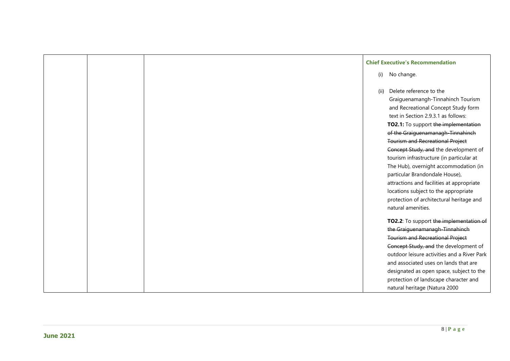|  |      | <b>Chief Executive's Recommendation</b>     |
|--|------|---------------------------------------------|
|  | (i)  | No change.                                  |
|  | (ii) | Delete reference to the                     |
|  |      | Graiguenamangh-Tinnahinch Tourism           |
|  |      | and Recreational Concept Study form         |
|  |      | text in Section 2.9.3.1 as follows:         |
|  |      | TO2.1: To support the implementation        |
|  |      | of the Graiguenamanagh-Tinnahinch           |
|  |      | <b>Tourism and Recreational Project</b>     |
|  |      | Concept Study, and the development of       |
|  |      | tourism infrastructure (in particular at    |
|  |      | The Hub), overnight accommodation (in       |
|  |      | particular Brandondale House),              |
|  |      | attractions and facilities at appropriate   |
|  |      | locations subject to the appropriate        |
|  |      | protection of architectural heritage and    |
|  |      | natural amenities.                          |
|  |      | TO2.2: To support the implementation of     |
|  |      | the Graiguenamanagh-Tinnahinch              |
|  |      | <b>Tourism and Recreational Project</b>     |
|  |      | Concept Study, and the development of       |
|  |      | outdoor leisure activities and a River Park |
|  |      | and associated uses on lands that are       |
|  |      | designated as open space, subject to the    |
|  |      | protection of landscape character and       |
|  |      | natural heritage (Natura 2000               |

**June 2021**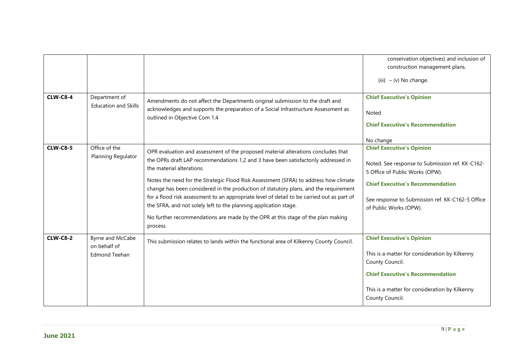|                 |                                                          |                                                                                                                                                                                                                                                                                                                                                                                                                                                                                                                                                                                                                                                       | conservation objectives) and inclusion of<br>construction management plans.<br>(iii) $- (v)$ No change.                                                                                                                                                      |
|-----------------|----------------------------------------------------------|-------------------------------------------------------------------------------------------------------------------------------------------------------------------------------------------------------------------------------------------------------------------------------------------------------------------------------------------------------------------------------------------------------------------------------------------------------------------------------------------------------------------------------------------------------------------------------------------------------------------------------------------------------|--------------------------------------------------------------------------------------------------------------------------------------------------------------------------------------------------------------------------------------------------------------|
| <b>CLW-C8-4</b> | Department of<br><b>Education and Skills</b>             | Amendments do not affect the Departments original submission to the draft and<br>acknowledges and supports the preparation of a Social Infrastructure Assessment as<br>outlined in Objective Com 1.4                                                                                                                                                                                                                                                                                                                                                                                                                                                  | <b>Chief Executive's Opinion</b><br>Noted<br><b>Chief Executive's Recommendation</b>                                                                                                                                                                         |
| <b>CLW-C8-5</b> | Office of the<br>Planning Regulator                      | OPR evaluation and assessment of the proposed material alterations concludes that<br>the OPRs draft LAP recommendations 1,2 and 3 have been satisfactorily addressed in<br>the material alterations.<br>Notes the need for the Strategic Flood Risk Assessment (SFRA) to address how climate<br>change has been considered in the production of statutory plans, and the requirement<br>for a flood risk assessment to an appropriate level of detail to be carried out as part of<br>the SFRA, and not solely left to the planning application stage.<br>No further recommendations are made by the OPR at this stage of the plan making<br>process. | No change<br><b>Chief Executive's Opinion</b><br>Noted. See response to Submission ref. KK-C162-<br>5 Office of Public Works (OPW).<br><b>Chief Executive's Recommendation</b><br>See response to Submission ref. KK-C162-5 Office<br>of Public Works (OPW). |
| <b>CLW-C8-2</b> | Byrne and McCabe<br>on behalf of<br><b>Edmond Teehan</b> | This submission relates to lands within the functional area of Kilkenny County Council.                                                                                                                                                                                                                                                                                                                                                                                                                                                                                                                                                               | <b>Chief Executive's Opinion</b><br>This is a matter for consideration by Kilkenny<br>County Council.<br><b>Chief Executive's Recommendation</b><br>This is a matter for consideration by Kilkenny<br>County Council.                                        |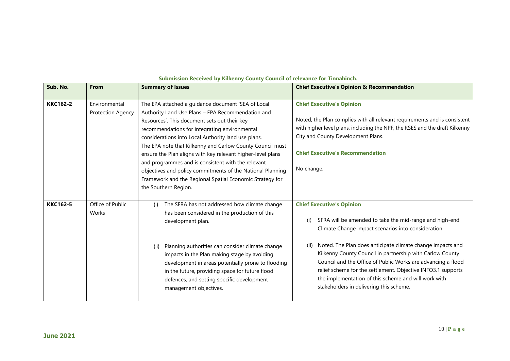| Sub. No.        | <b>From</b>                        | <b>Summary of Issues</b>                                                                                                                                                                                                                                                                                                                                                                                                                                                                                                                                                                            | <b>Chief Executive's Opinion &amp; Recommendation</b>                                                                                                                                                                                                                                                                                                                                                                                                                                                                           |
|-----------------|------------------------------------|-----------------------------------------------------------------------------------------------------------------------------------------------------------------------------------------------------------------------------------------------------------------------------------------------------------------------------------------------------------------------------------------------------------------------------------------------------------------------------------------------------------------------------------------------------------------------------------------------------|---------------------------------------------------------------------------------------------------------------------------------------------------------------------------------------------------------------------------------------------------------------------------------------------------------------------------------------------------------------------------------------------------------------------------------------------------------------------------------------------------------------------------------|
| <b>KKC162-2</b> | Environmental<br>Protection Agency | The EPA attached a guidance document 'SEA of Local<br>Authority Land Use Plans - EPA Recommendation and<br>Resources'. This document sets out their key<br>recommendations for integrating environmental<br>considerations into Local Authority land use plans.<br>The EPA note that Kilkenny and Carlow County Council must<br>ensure the Plan aligns with key relevant higher-level plans<br>and programmes and is consistent with the relevant<br>objectives and policy commitments of the National Planning<br>Framework and the Regional Spatial Economic Strategy for<br>the Southern Region. | <b>Chief Executive's Opinion</b><br>Noted, the Plan complies with all relevant requirements and is consistent<br>with higher level plans, including the NPF, the RSES and the draft Kilkenny<br>City and County Development Plans.<br><b>Chief Executive's Recommendation</b><br>No change.                                                                                                                                                                                                                                     |
| <b>KKC162-5</b> | Office of Public<br>Works          | The SFRA has not addressed how climate change<br>(i)<br>has been considered in the production of this<br>development plan.<br>Planning authorities can consider climate change<br>(ii)<br>impacts in the Plan making stage by avoiding<br>development in areas potentially prone to flooding<br>in the future, providing space for future flood<br>defences, and setting specific development<br>management objectives.                                                                                                                                                                             | <b>Chief Executive's Opinion</b><br>SFRA will be amended to take the mid-range and high-end<br>(i)<br>Climate Change impact scenarios into consideration.<br>Noted. The Plan does anticipate climate change impacts and<br>(ii)<br>Kilkenny County Council in partnership with Carlow County<br>Council and the Office of Public Works are advancing a flood<br>relief scheme for the settlement. Objective INFO3.1 supports<br>the implementation of this scheme and will work with<br>stakeholders in delivering this scheme. |

#### **Submission Received by Kilkenny County Council of relevance for Tinnahinch.**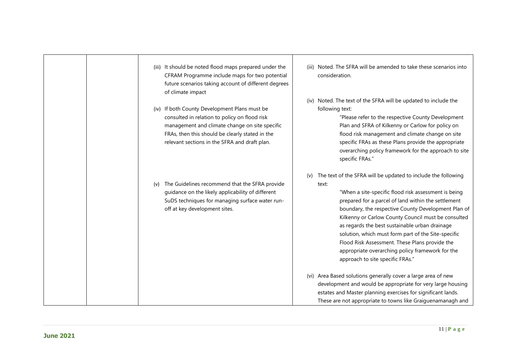|     | (iii) It should be noted flood maps prepared under the<br>CFRAM Programme include maps for two potential<br>future scenarios taking account of different degrees<br>of climate impact                                                                | (iii) | Noted. The SFRA will be amended to take these scenarios into<br>consideration.                                                                                                                                                                                                                                                                                                                                                                                                                                                                         |
|-----|------------------------------------------------------------------------------------------------------------------------------------------------------------------------------------------------------------------------------------------------------|-------|--------------------------------------------------------------------------------------------------------------------------------------------------------------------------------------------------------------------------------------------------------------------------------------------------------------------------------------------------------------------------------------------------------------------------------------------------------------------------------------------------------------------------------------------------------|
|     | (iv) If both County Development Plans must be<br>consulted in relation to policy on flood risk<br>management and climate change on site specific<br>FRAs, then this should be clearly stated in the<br>relevant sections in the SFRA and draft plan. |       | (iv) Noted. The text of the SFRA will be updated to include the<br>following text:<br>"Please refer to the respective County Development<br>Plan and SFRA of Kilkenny or Carlow for policy on<br>flood risk management and climate change on site<br>specific FRAs as these Plans provide the appropriate<br>overarching policy framework for the approach to site<br>specific FRAs."                                                                                                                                                                  |
| (v) | The Guidelines recommend that the SFRA provide<br>guidance on the likely applicability of different<br>SuDS techniques for managing surface water run-<br>off at key development sites.                                                              | (v)   | The text of the SFRA will be updated to include the following<br>text:<br>"When a site-specific flood risk assessment is being<br>prepared for a parcel of land within the settlement<br>boundary, the respective County Development Plan of<br>Kilkenny or Carlow County Council must be consulted<br>as regards the best sustainable urban drainage<br>solution, which must form part of the Site-specific<br>Flood Risk Assessment. These Plans provide the<br>appropriate overarching policy framework for the<br>approach to site specific FRAs." |
|     |                                                                                                                                                                                                                                                      |       | (vi) Area Based solutions generally cover a large area of new<br>development and would be appropriate for very large housing<br>estates and Master planning exercises for significant lands.<br>These are not appropriate to towns like Graiguenamanagh and                                                                                                                                                                                                                                                                                            |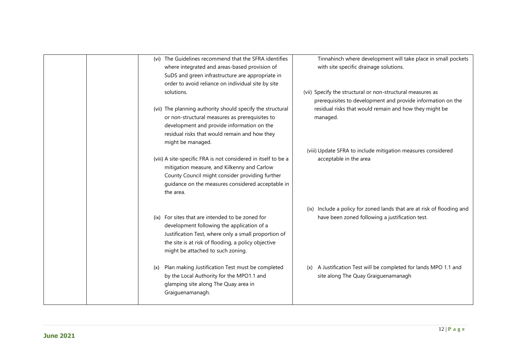| (vi) The Guidelines recommend that the SFRA identifies         | Tinnahinch where development will take place in small pockets          |
|----------------------------------------------------------------|------------------------------------------------------------------------|
| where integrated and areas-based provision of                  | with site specific drainage solutions.                                 |
| SuDS and green infrastructure are appropriate in               |                                                                        |
| order to avoid reliance on individual site by site             |                                                                        |
| solutions.                                                     | (vii) Specify the structural or non-structural measures as             |
|                                                                | prerequisites to development and provide information on the            |
| (vii) The planning authority should specify the structural     | residual risks that would remain and how they might be                 |
| or non-structural measures as prerequisites to                 | managed.                                                               |
| development and provide information on the                     |                                                                        |
| residual risks that would remain and how they                  |                                                                        |
| might be managed.                                              |                                                                        |
|                                                                | (viii) Update SFRA to include mitigation measures considered           |
| (viii) A site-specific FRA is not considered in itself to be a | acceptable in the area                                                 |
| mitigation measure, and Kilkenny and Carlow                    |                                                                        |
| County Council might consider providing further                |                                                                        |
| guidance on the measures considered acceptable in              |                                                                        |
| the area.                                                      |                                                                        |
|                                                                |                                                                        |
|                                                                | (ix) Include a policy for zoned lands that are at risk of flooding and |
| (ix) For sites that are intended to be zoned for               | have been zoned following a justification test.                        |
| development following the application of a                     |                                                                        |
| Justification Test, where only a small proportion of           |                                                                        |
| the site is at risk of flooding, a policy objective            |                                                                        |
| might be attached to such zoning.                              |                                                                        |
|                                                                |                                                                        |
| Plan making Justification Test must be completed<br>(x)        | (x) A Justification Test will be completed for lands MPO 1.1 and       |
| by the Local Authority for the MPO1.1 and                      | site along The Quay Graiguenamanagh                                    |
| glamping site along The Quay area in                           |                                                                        |
| Graiguenamanagh.                                               |                                                                        |
|                                                                |                                                                        |
|                                                                |                                                                        |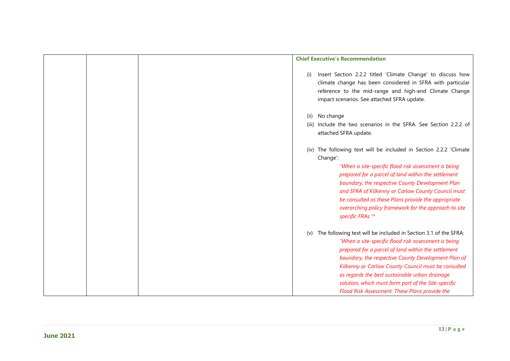|  | <b>Chief Executive's Recommendation</b>                                                                                                                                                                                                                                                                                                                                                                                                                        |
|--|----------------------------------------------------------------------------------------------------------------------------------------------------------------------------------------------------------------------------------------------------------------------------------------------------------------------------------------------------------------------------------------------------------------------------------------------------------------|
|  | Insert Section 2.2.2 titled 'Climate Change' to discuss how<br>(i)<br>climate change has been considered in SFRA with particular<br>reference to the mid-range and high-end Climate Change<br>impact scenarios. See attached SFRA update.                                                                                                                                                                                                                      |
|  | (ii) No change<br>(iii) Include the two scenarios in the SFRA. See Section 2.2.2 of<br>attached SFRA update.                                                                                                                                                                                                                                                                                                                                                   |
|  | (iv) The following text will be included in Section 2.2.2 'Climate<br>Change':<br>"When a site-specific flood risk assessment is being<br>prepared for a parcel of land within the settlement<br>boundary, the respective County Development Plan<br>and SFRA of Kilkenny or Carlow County Council must<br>be consulted as these Plans provide the appropriate<br>overarching policy framework for the approach to site<br>specific FRAs."*                    |
|  | The following text will be included in Section 3.1 of the SFRA:<br>(v)<br>"When a site-specific flood risk assessment is being<br>prepared for a parcel of land within the settlement<br>boundary, the respective County Development Plan of<br>Kilkenny or Carlow County Council must be consulted<br>as regards the best sustainable urban drainage<br>solution, which must form part of the Site-specific<br>Flood Risk Assessment. These Plans provide the |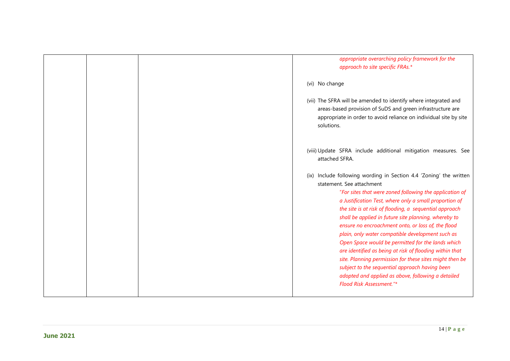| appropriate overarching policy framework for the<br>approach to site specific FRAs.*                                                                                                                                                                                                                                                                                                                                                                                                                                                                                                                                                                                                                                                                            |
|-----------------------------------------------------------------------------------------------------------------------------------------------------------------------------------------------------------------------------------------------------------------------------------------------------------------------------------------------------------------------------------------------------------------------------------------------------------------------------------------------------------------------------------------------------------------------------------------------------------------------------------------------------------------------------------------------------------------------------------------------------------------|
| (vi) No change                                                                                                                                                                                                                                                                                                                                                                                                                                                                                                                                                                                                                                                                                                                                                  |
| (vii) The SFRA will be amended to identify where integrated and<br>areas-based provision of SuDS and green infrastructure are<br>appropriate in order to avoid reliance on individual site by site<br>solutions.                                                                                                                                                                                                                                                                                                                                                                                                                                                                                                                                                |
| (viii) Update SFRA include additional mitigation measures. See<br>attached SFRA.                                                                                                                                                                                                                                                                                                                                                                                                                                                                                                                                                                                                                                                                                |
| (ix) Include following wording in Section 4.4 'Zoning' the written<br>statement. See attachment<br>"For sites that were zoned following the application of<br>a Justification Test, where only a small proportion of<br>the site is at risk of flooding, a sequential approach<br>shall be applied in future site planning, whereby to<br>ensure no encroachment onto, or loss of, the flood<br>plain, only water compatible development such as<br>Open Space would be permitted for the lands which<br>are identified as being at risk of flooding within that<br>site. Planning permission for these sites might then be<br>subject to the sequential approach having been<br>adopted and applied as above, following a detailed<br>Flood Risk Assessment."* |